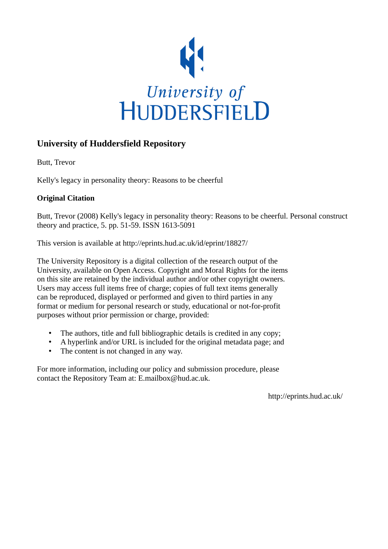

## **University of Huddersfield Repository**

Butt, Trevor

Kelly's legacy in personality theory: Reasons to be cheerful

## **Original Citation**

Butt, Trevor (2008) Kelly's legacy in personality theory: Reasons to be cheerful. Personal construct theory and practice, 5. pp. 51-59. ISSN 1613-5091

This version is available at http://eprints.hud.ac.uk/id/eprint/18827/

The University Repository is a digital collection of the research output of the University, available on Open Access. Copyright and Moral Rights for the items on this site are retained by the individual author and/or other copyright owners. Users may access full items free of charge; copies of full text items generally can be reproduced, displayed or performed and given to third parties in any format or medium for personal research or study, educational or not-for-profit purposes without prior permission or charge, provided:

- The authors, title and full bibliographic details is credited in any copy;
- A hyperlink and/or URL is included for the original metadata page; and
- The content is not changed in any way.

For more information, including our policy and submission procedure, please contact the Repository Team at: E.mailbox@hud.ac.uk.

http://eprints.hud.ac.uk/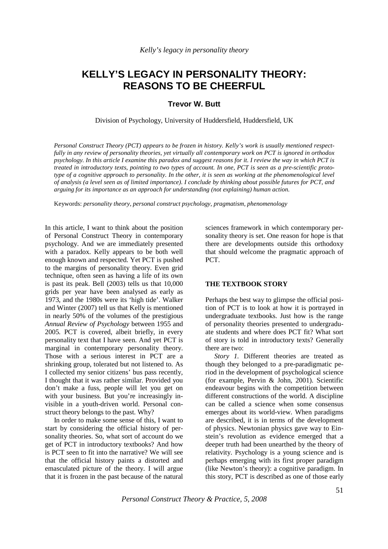# **KELLY'S LEGACY IN PERSONALITY THEORY: REASONS TO BE CHEERFUL**

**Trevor W. Butt** 

Division of Psychology, University of Huddersfield, Huddersfield, UK

*Personal Construct Theory (PCT) appears to be frozen in history. Kelly's work is usually mentioned respectfully in any review of personality theories, yet virtually all contemporary work on PCT is ignored in orthodox psychology. In this article I examine this paradox and suggest reasons for it. I review the way in which PCT is treated in introductory texts, pointing to two types of account. In one, PCT is seen as a pre-scientific prototype of a cognitive approach to personality. In the other, it is seen as working at the phenomenological level of analysis (a level seen as of limited importance). I conclude by thinking about possible futures for PCT, and arguing for its importance as an approach for understanding (not explaining) human action.* 

Keywords: *personality theory, personal construct psychology, pragmatism, phenomenology* 

In this article, I want to think about the position of Personal Construct Theory in contemporary psychology. And we are immediately presented with a paradox. Kelly appears to be both well enough known and respected. Yet PCT is pushed to the margins of personality theory. Even grid technique, often seen as having a life of its own is past its peak. Bell (2003) tells us that 10,000 grids per year have been analysed as early as 1973, and the 1980s were its 'high tide'. Walker and Winter (2007) tell us that Kelly is mentioned in nearly 50% of the volumes of the prestigious *Annual Review of Psychology* between 1955 and 2005. PCT is covered, albeit briefly, in every personality text that I have seen. And yet PCT is marginal in contemporary personality theory. Those with a serious interest in PCT are a shrinking group, tolerated but not listened to. As I collected my senior citizens' bus pass recently, I thought that it was rather similar. Provided you don't make a fuss, people will let you get on with your business. But you're increasingly invisible in a youth-driven world. Personal construct theory belongs to the past. Why?

In order to make some sense of this, I want to start by considering the official history of personality theories. So, what sort of account do we get of PCT in introductory textbooks? And how is PCT seen to fit into the narrative? We will see that the official history paints a distorted and emasculated picture of the theory. I will argue that it is frozen in the past because of the natural

sciences framework in which contemporary personality theory is set. One reason for hope is that there are developments outside this orthodoxy that should welcome the pragmatic approach of PCT.

## **THE TEXTBOOK STORY**

Perhaps the best way to glimpse the official position of PCT is to look at how it is portrayed in undergraduate textbooks. Just how is the range of personality theories presented to undergraduate students and where does PCT fit? What sort of story is told in introductory texts? Generally there are two:

*Story 1.* Different theories are treated as though they belonged to a pre-paradigmatic period in the development of psychological science (for example, Pervin & John, 2001). Scientific endeavour begins with the competition between different constructions of the world. A discipline can be called a science when some consensus emerges about its world-view. When paradigms are described, it is in terms of the development of physics. Newtonian physics gave way to Einstein's revolution as evidence emerged that a deeper truth had been unearthed by the theory of relativity. Psychology is a young science and is perhaps emerging with its first proper paradigm (like Newton's theory): a cognitive paradigm. In this story, PCT is described as one of those early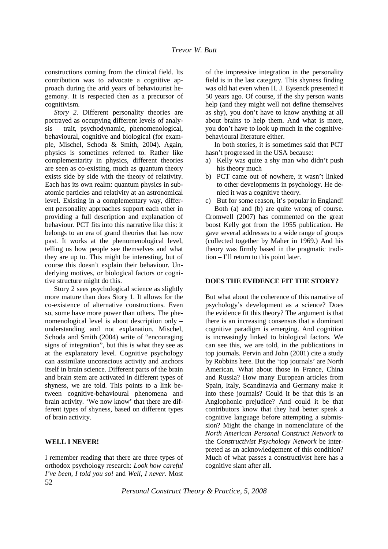constructions coming from the clinical field. Its contribution was to advocate a cognitive approach during the arid years of behaviourist hegemony. It is respected then as a precursor of cognitivism.

*Story 2*. Different personality theories are portrayed as occupying different levels of analysis – trait, psychodynamic, phenomenological, behavioural, cognitive and biological (for example, Mischel, Schoda & Smith, 2004). Again, physics is sometimes referred to. Rather like complementarity in physics, different theories are seen as co-existing, much as quantum theory exists side by side with the theory of relativity. Each has its own realm: quantum physics in subatomic particles and relativity at an astronomical level. Existing in a complementary way, different personality approaches support each other in providing a full description and explanation of behaviour. PCT fits into this narrative like this: it belongs to an era of grand theories that has now past. It works at the phenomenological level, telling us how people see themselves and what they are up to. This might be interesting, but of course this doesn't explain their behaviour. Underlying motives, or biological factors or cognitive structure might do this.

Story 2 sees psychological science as slightly more mature than does Story 1. It allows for the co-existence of alternative constructions. Even so, some have more power than others. The phenomenological level is about description only – understanding and not explanation. Mischel, Schoda and Smith (2004) write of "encouraging signs of integration", but this is what they see as at the explanatory level. Cognitive psychology can assimilate unconscious activity and anchors itself in brain science. Different parts of the brain and brain stem are activated in different types of shyness, we are told. This points to a link between cognitive-behavioural phenomena and brain activity. 'We now know' that there are different types of shyness, based on different types of brain activity.

## **WELL I NEVER!**

52 I remember reading that there are three types of orthodox psychology research: *Look how careful I've been, I told you so!* and *Well, I never.* Most

of the impressive integration in the personality field is in the last category. This shyness finding was old hat even when H. J. Eysenck presented it 50 years ago. Of course, if the shy person wants help (and they might well not define themselves as shy), you don't have to know anything at all about brains to help them. And what is more, you don't have to look up much in the cognitivebehavioural literature either.

In both stories, it is sometimes said that PCT hasn't progressed in the USA because:

- a) Kelly was quite a shy man who didn't push his theory much
- b) PCT came out of nowhere, it wasn't linked to other developments in psychology. He denied it was a cognitive theory.

c) But for some reason, it's popular in England! Both (a) and (b) are quite wrong of course. Cromwell (2007) has commented on the great boost Kelly got from the 1955 publication. He gave several addresses to a wide range of groups (collected together by Maher in 1969.) And his theory was firmly based in the pragmatic tradition – I'll return to this point later.

## **DOES THE EVIDENCE FIT THE STORY?**

But what about the coherence of this narrative of psychology's development as a science? Does the evidence fit this theory? The argument is that there is an increasing consensus that a dominant cognitive paradigm is emerging. And cognition is increasingly linked to biological factors. We can see this, we are told, in the publications in top journals. Pervin and John (2001) cite a study by Robbins here. But the 'top journals' are North American. What about those in France, China and Russia? How many European articles from Spain, Italy, Scandinavia and Germany make it into these journals? Could it be that this is an Anglophonic prejudice? And could it be that contributors know that they had better speak a cognitive language before attempting a submission? Might the change in nomenclature of the *North American Personal Construct Network* to the *Constructivist Psychology Network* be interpreted as an acknowledgement of this condition? Much of what passes a constructivist here has a cognitive slant after all.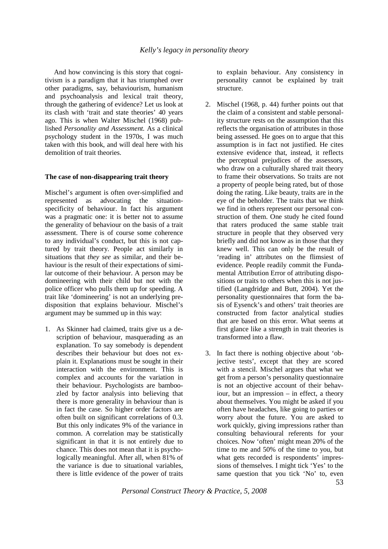And how convincing is this story that cognitivism is a paradigm that it has triumphed over other paradigms, say, behaviourism, humanism and psychoanalysis and lexical trait theory, through the gathering of evidence? Let us look at its clash with 'trait and state theories' 40 years ago. This is when Walter Mischel (1968) published *Personality and Assessment.* As a clinical psychology student in the 1970s, I was much taken with this book, and will deal here with his demolition of trait theories.

## **The case of non-disappearing trait theory**

Mischel's argument is often over-simplified and represented as advocating the situationspecificity of behaviour. In fact his argument was a pragmatic one: it is better not to assume the generality of behaviour on the basis of a trait assessment. There is of course some coherence to any individual's conduct, but this is not captured by trait theory. People act similarly in situations that *they see* as similar, and their behaviour is the result of their expectations of similar outcome of their behaviour. A person may be domineering with their child but not with the police officer who pulls them up for speeding. A trait like 'domineering' is not an underlying predisposition that explains behaviour. Mischel's argument may be summed up in this way:

1. As Skinner had claimed, traits give us a description of behaviour, masquerading as an explanation. To say somebody is dependent describes their behaviour but does not explain it. Explanations must be sought in their interaction with the environment. This is complex and accounts for the variation in their behaviour. Psychologists are bamboozled by factor analysis into believing that there is more generality in behaviour than is in fact the case. So higher order factors are often built on significant correlations of 0.3. But this only indicates 9% of the variance in common. A correlation may be statistically significant in that it is not entirely due to chance. This does not mean that it is psychologically meaningful. After all, when 81% of the variance is due to situational variables, there is little evidence of the power of traits

to explain behaviour. Any consistency in personality cannot be explained by trait structure.

- 2. Mischel (1968, p. 44) further points out that the claim of a consistent and stable personality structure rests on the assumption that this reflects the organisation of attributes in those being assessed. He goes on to argue that this assumption is in fact not justified. He cites extensive evidence that, instead, it reflects the perceptual prejudices of the assessors, who draw on a culturally shared trait theory to frame their observations. So traits are not a property of people being rated, but of those doing the rating. Like beauty, traits are in the eye of the beholder. The traits that we think we find in others represent our personal construction of them. One study he cited found that raters produced the same stable trait structure in people that they observed very briefly and did not know as in those that they knew well. This can only be the result of 'reading in' attributes on the flimsiest of evidence. People readily commit the Fundamental Attribution Error of attributing dispositions or traits to others when this is not justified (Langdridge and Butt, 2004). Yet the personality questionnaires that form the basis of Eysenck's and others' trait theories are constructed from factor analytical studies that are based on this error. What seems at first glance like a strength in trait theories is transformed into a flaw.
- 3. In fact there is nothing objective about 'objective tests', except that they are scored with a stencil. Mischel argues that what we get from a person's personality questionnaire is not an objective account of their behaviour, but an impression – in effect, a theory about themselves. You might be asked if you often have headaches, like going to parties or worry about the future. You are asked to work quickly, giving impressions rather than consulting behavioural referents for your choices. Now 'often' might mean 20% of the time to me and 50% of the time to you, but what gets recorded is respondents' impressions of themselves. I might tick 'Yes' to the same question that you tick 'No' to, even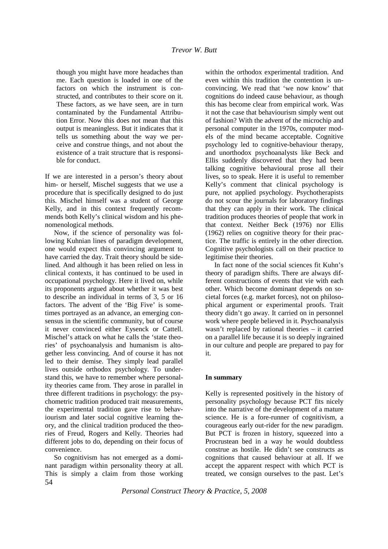though you might have more headaches than me. Each question is loaded in one of the factors on which the instrument is constructed, and contributes to their score on it. These factors, as we have seen, are in turn contaminated by the Fundamental Attribution Error. Now this does not mean that this output is meaningless. But it indicates that it tells us something about the way we perceive and construe things, and not about the existence of a trait structure that is responsible for conduct.

If we are interested in a person's theory about him- or herself, Mischel suggests that we use a procedure that is specifically designed to do just this. Mischel himself was a student of George Kelly, and in this context frequently recommends both Kelly's clinical wisdom and his phenomenological methods.

Now, if the science of personality was following Kuhnian lines of paradigm development, one would expect this convincing argument to have carried the day. Trait theory should be sidelined. And although it has been relied on less in clinical contexts, it has continued to be used in occupational psychology. Here it lived on, while its proponents argued about whether it was best to describe an individual in terms of 3, 5 or 16 factors. The advent of the 'Big Five' is sometimes portrayed as an advance, an emerging consensus in the scientific community, but of course it never convinced either Eysenck or Cattell. Mischel's attack on what he calls the 'state theories' of psychoanalysis and humanism is altogether less convincing. And of course it has not led to their demise. They simply lead parallel lives outside orthodox psychology. To understand this, we have to remember where personality theories came from. They arose in parallel in three different traditions in psychology: the psychometric tradition produced trait measurements, the experimental tradition gave rise to behaviourism and later social cognitive learning theory, and the clinical tradition produced the theories of Freud, Rogers and Kelly. Theories had different jobs to do, depending on their focus of convenience.

54 So cognitivism has not emerged as a dominant paradigm within personality theory at all. This is simply a claim from those working

within the orthodox experimental tradition. And even within this tradition the contention is unconvincing. We read that 'we now know' that cognitions do indeed cause behaviour, as though this has become clear from empirical work. Was it not the case that behaviourism simply went out of fashion? With the advent of the microchip and personal computer in the 1970s, computer models of the mind became acceptable. Cognitive psychology led to cognitive-behaviour therapy, and unorthodox psychoanalysts like Beck and Ellis suddenly discovered that they had been talking cognitive behavioural prose all their lives, so to speak. Here it is useful to remember Kelly's comment that clinical psychology is pure, not applied psychology. Psychotherapists do not scour the journals for laboratory findings that they can apply in their work. The clinical tradition produces theories of people that work in that context. Neither Beck (1976) nor Ellis (1962) relies on cognitive theory for their practice. The traffic is entirely in the other direction. Cognitive psychologists call on their practice to legitimise their theories.

In fact none of the social sciences fit Kuhn's theory of paradigm shifts. There are always different constructions of events that vie with each other. Which become dominant depends on societal forces (e.g. market forces), not on philosophical argument or experimental proofs. Trait theory didn't go away. It carried on in personnel work where people believed in it. Psychoanalysis wasn't replaced by rational theories – it carried on a parallel life because it is so deeply ingrained in our culture and people are prepared to pay for it.

## **In summary**

Kelly is represented positively in the history of personality psychology because PCT fits nicely into the narrative of the development of a mature science. He is a fore-runner of cognitivism, a courageous early out-rider for the new paradigm. But PCT is frozen in history, squeezed into a Procrustean bed in a way he would doubtless construe as hostile. He didn't see constructs as cognitions that caused behaviour at all. If we accept the apparent respect with which PCT is treated, we consign ourselves to the past. Let's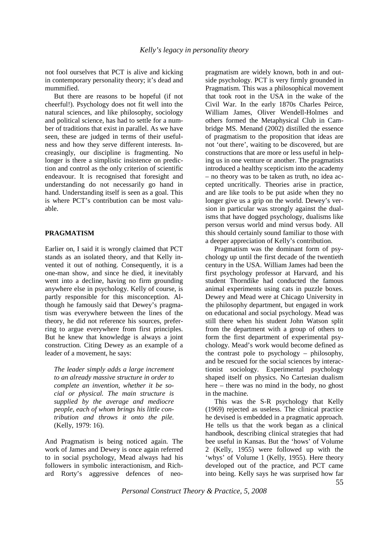not fool ourselves that PCT is alive and kicking in contemporary personality theory; it's dead and mummified.

But there are reasons to be hopeful (if not cheerful!). Psychology does not fit well into the natural sciences, and like philosophy, sociology and political science, has had to settle for a number of traditions that exist in parallel. As we have seen, these are judged in terms of their usefulness and how they serve different interests. Increasingly, our discipline is fragmenting. No longer is there a simplistic insistence on prediction and control as the only criterion of scientific endeavour. It is recognised that foresight and understanding do not necessarily go hand in hand. Understanding itself is seen as a goal. This is where PCT's contribution can be most valuable.

## **PRAGMATISM**

Earlier on, I said it is wrongly claimed that PCT stands as an isolated theory, and that Kelly invented it out of nothing. Consequently, it is a one-man show, and since he died, it inevitably went into a decline, having no firm grounding anywhere else in psychology. Kelly of course, is partly responsible for this misconception. Although he famously said that Dewey's pragmatism was everywhere between the lines of the theory, he did not reference his sources, preferring to argue everywhere from first principles. But he knew that knowledge is always a joint construction. Citing Dewey as an example of a leader of a movement, he says:

*The leader simply adds a large increment to an already massive structure in order to complete an invention, whether it be social or physical. The main structure is supplied by the average and mediocre people, each of whom brings his little contribution and throws it onto the pile.*  (Kelly, 1979: 16).

And Pragmatism is being noticed again. The work of James and Dewey is once again referred to in social psychology, Mead always had his followers in symbolic interactionism, and Richard Rorty's aggressive defences of neopragmatism are widely known, both in and outside psychology. PCT is very firmly grounded in Pragmatism. This was a philosophical movement that took root in the USA in the wake of the Civil War. In the early 1870s Charles Peirce, William James, Oliver Wendell-Holmes and others formed the Metaphysical Club in Cambridge MS. Menand (2002) distilled the essence of pragmatism to the proposition that ideas are not 'out there', waiting to be discovered, but are constructions that are more or less useful in helping us in one venture or another. The pragmatists introduced a healthy scepticism into the academy – no theory was to be taken as truth, no idea accepted uncritically. Theories arise in practice, and are like tools to be put aside when they no longer give us a grip on the world. Dewey's version in particular was strongly against the dualisms that have dogged psychology, dualisms like person versus world and mind versus body. All this should certainly sound familiar to those with a deeper appreciation of Kelly's contribution.

Pragmatism was the dominant form of psychology up until the first decade of the twentieth century in the USA. William James had been the first psychology professor at Harvard, and his student Thorndike had conducted the famous animal experiments using cats in puzzle boxes. Dewey and Mead were at Chicago University in the philosophy department, but engaged in work on educational and social psychology. Mead was still there when his student John Watson split from the department with a group of others to form the first department of experimental psychology. Mead's work would become defined as the contrast pole to psychology – philosophy, and be rescued for the social sciences by interactionist sociology. Experimental psychology shaped itself on physics. No Cartesian dualism here – there was no mind in the body, no ghost in the machine.

This was the S-R psychology that Kelly (1969) rejected as useless. The clinical practice he devised is embedded in a pragmatic approach. He tells us that the work began as a clinical handbook, describing clinical strategies that had bee useful in Kansas. But the 'hows' of Volume 2 (Kelly, 1955) were followed up with the 'whys' of Volume 1 (Kelly, 1955). Here theory developed out of the practice, and PCT came into being. Kelly says he was surprised how far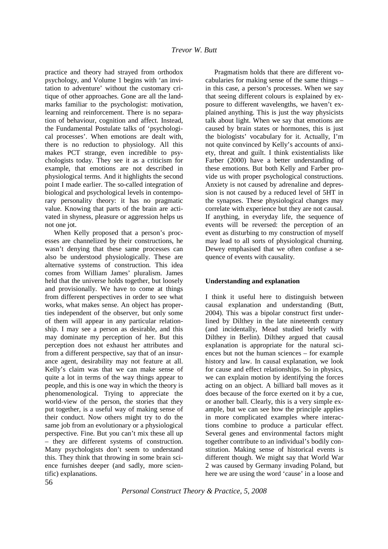practice and theory had strayed from orthodox psychology, and Volume 1 begins with 'an invitation to adventure' without the customary critique of other approaches. Gone are all the landmarks familiar to the psychologist: motivation, learning and reinforcement. There is no separation of behaviour, cognition and affect. Instead, the Fundamental Postulate talks of 'psychological processes'. When emotions are dealt with, there is no reduction to physiology. All this makes PCT strange, even incredible to psychologists today. They see it as a criticism for example, that emotions are not described in physiological terms. And it highlights the second point I made earlier. The so-called integration of biological and psychological levels in contemporary personality theory: it has no pragmatic value. Knowing that parts of the brain are activated in shyness, pleasure or aggression helps us not one jot.

When Kelly proposed that a person's processes are channelized by their constructions, he wasn't denying that these same processes can also be understood physiologically. These are alternative systems of construction. This idea comes from William James' pluralism. James held that the universe holds together, but loosely and provisionally. We have to come at things from different perspectives in order to see what works, what makes sense. An object has properties independent of the observer, but only some of them will appear in any particular relationship. I may see a person as desirable, and this may dominate my perception of her. But this perception does not exhaust her attributes and from a different perspective, say that of an insurance agent, desirability may not feature at all. Kelly's claim was that we can make sense of quite a lot in terms of the way things appear to people, and this is one way in which the theory is phenomenological. Trying to appreciate the world-view of the person, the stories that they put together, is a useful way of making sense of their conduct. Now others might try to do the same job from an evolutionary or a physiological perspective. Fine. But you can't mix these all up – they are different systems of construction. Many psychologists don't seem to understand this. They think that throwing in some brain science furnishes deeper (and sadly, more scientific) explanations.

Pragmatism holds that there are different vocabularies for making sense of the same things – in this case, a person's processes. When we say that seeing different colours is explained by exposure to different wavelengths, we haven't explained anything. This is just the way physicists talk about light. When we say that emotions are caused by brain states or hormones, this is just the biologists' vocabulary for it. Actually, I'm not quite convinced by Kelly's accounts of anxiety, threat and guilt. I think existentialists like Farber (2000) have a better understanding of these emotions. But both Kelly and Farber provide us with proper psychological constructions. Anxiety is not caused by adrenaline and depression is not caused by a reduced level of 5HT in the synapses. These physiological changes may correlate with experience but they are not causal. If anything, in everyday life, the sequence of events will be reversed: the perception of an event as disturbing to my construction of myself may lead to all sorts of physiological churning. Dewey emphasised that we often confuse a sequence of events with causality.

## **Understanding and explanation**

I think it useful here to distinguish between causal explanation and understanding (Butt, 2004). This was a bipolar construct first underlined by Dilthey in the late nineteenth century (and incidentally, Mead studied briefly with Dilthey in Berlin). Dilthey argued that causal explanation is appropriate for the natural sciences but not the human sciences – for example history and law. In causal explanation, we look for cause and effect relationships. So in physics, we can explain motion by identifying the forces acting on an object. A billiard ball moves as it does because of the force exerted on it by a cue, or another ball. Clearly, this is a very simple example, but we can see how the principle applies in more complicated examples where interactions combine to produce a particular effect. Several genes and environmental factors might together contribute to an individual's bodily constitution. Making sense of historical events is different though. We might say that World War 2 was caused by Germany invading Poland, but here we are using the word 'cause' in a loose and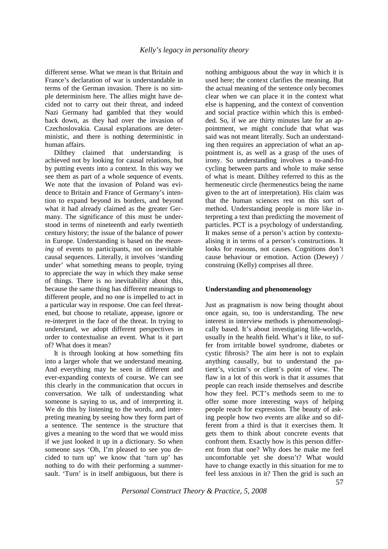different sense. What we mean is that Britain and France's declaration of war is understandable in terms of the German invasion. There is no simple determinism here. The allies might have decided not to carry out their threat, and indeed Nazi Germany had gambled that they would back down, as they had over the invasion of Czechoslovakia. Causal explanations are deterministic, and there is nothing deterministic in human affairs.

Dilthey claimed that understanding is achieved not by looking for causal relations, but by putting events into a context. In this way we see them as part of a whole sequence of events. We note that the invasion of Poland was evidence to Britain and France of Germany's intention to expand beyond its borders, and beyond what it had already claimed as the greater Germany. The significance of this must be understood in terms of nineteenth and early twentieth century history; the issue of the balance of power in Europe. Understanding is based on the *meaning* of events to participants, not on inevitable causal sequences. Literally, it involves 'standing under' what something means to people, trying to appreciate the way in which they make sense of things. There is no inevitability about this, because the same thing has different meanings to different people, and no one is impelled to act in a particular way in response. One can feel threatened, but choose to retaliate, appease, ignore or re-interpret in the face of the threat. In trying to understand, we adopt different perspectives in order to contextualise an event. What is it part of? What does it mean?

It is through looking at how something fits into a larger whole that we understand meaning. And everything may be seen in different and ever-expanding contexts of course. We can see this clearly in the communication that occurs in conversation. We talk of understanding what someone is saying to us, and of interpreting it. We do this by listening to the words, and interpreting meaning by seeing how they form part of a sentence. The sentence is the structure that gives a meaning to the word that we would miss if we just looked it up in a dictionary. So when someone says 'Oh, I'm pleased to see you decided to turn up' we know that 'turn up' has nothing to do with their performing a summersault. 'Turn' is in itself ambiguous, but there is

nothing ambiguous about the way in which it is used here; the context clarifies the meaning. But the actual meaning of the sentence only becomes clear when we can place it in the context what else is happening, and the context of convention and social practice within which this is embedded. So, if we are thirty minutes late for an appointment, we might conclude that what was said was not meant literally. Such an understanding then requires an appreciation of what an appointment is, as well as a grasp of the uses of irony. So understanding involves a to-and-fro cycling between parts and whole to make sense of what is meant. Dilthey referred to this as the hermeneutic circle (hermeneutics being the name given to the art of interpretation). His claim was that the human sciences rest on this sort of method. Understanding people is more like interpreting a text than predicting the movement of particles. PCT is a psychology of understanding. It makes sense of a person's action by contextualising it in terms of a person's constructions. It looks for reasons, not causes. Cognitions don't cause behaviour or emotion. Action (Dewey) / construing (Kelly) comprises all three.

## **Understanding and phenomenology**

Just as pragmatism is now being thought about once again, so, too is understanding. The new interest in interview methods is phenomenologically based. It's about investigating life-worlds, usually in the health field. What's it like, to suffer from irritable bowel syndrome, diabetes or cystic fibrosis? The aim here is not to explain anything causally, but to understand the patient's, victim's or client's point of view. The flaw in a lot of this work is that it assumes that people can reach inside themselves and describe how they feel. PCT's methods seem to me to offer some more interesting ways of helping people reach for expression. The beauty of asking people how two events are alike and so different from a third is that it exercises them. It gets them to think about concrete events that confront them. Exactly how is this person different from that one? Why does he make me feel uncomfortable yet she doesn't? What would have to change exactly in this situation for me to feel less anxious in it? Then the grid is such an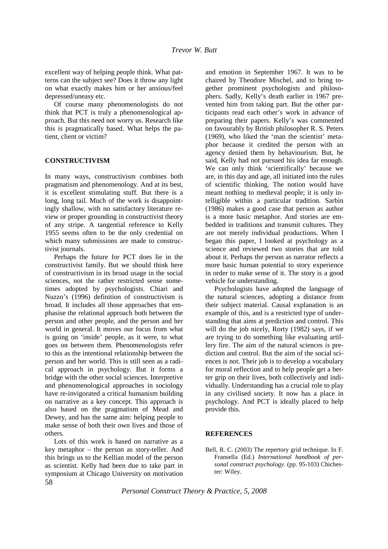excellent way of helping people think. What patterns can the subject see? Does it throw any light on what exactly makes him or her anxious/feel depressed/uneasy etc.

Of course many phenomenologists do not think that PCT is truly a phenomenological approach. But this need not worry us. Research like this is pragmatically based. What helps the patient, client or victim?

## **CONSTRUCTIVISM**

In many ways, constructivism combines both pragmatism and phenomenology. And at its best, it is excellent stimulating stuff. But there is a long, long tail. Much of the work is disappointingly shallow, with no satisfactory literature review or proper grounding in constructivist theory of any stripe. A tangential reference to Kelly 1955 seems often to be the only credential on which many submissions are made to constructivist journals.

Perhaps the future for PCT does lie in the constructivist family. But we should think here of constructivism in its broad usage in the social sciences, not the rather restricted sense sometimes adopted by psychologists. Chiari and Nuzzo's (1996) definition of constructivism is broad. It includes all those approaches that emphasise the relational approach both between the person and other people, and the person and her world in general. It moves our focus from what is going on 'inside' people, as it were, to what goes on between them. Phenomenologists refer to this as the intentional relationship between the person and her world. This is still seen as a radical approach in psychology. But it forms a bridge with the other social sciences. Interpretive and phenomenological approaches in sociology have re-invigorated a critical humanism building on narrative as a key concept. This approach is also based on the pragmatism of Mead and Dewey, and has the same aim: helping people to make sense of both their own lives and those of others.

58 Lots of this work is based on narrative as a key metaphor – the person as story-teller. And this brings us to the Kellian model of the person as scientist. Kelly had been due to take part in symposium at Chicago University on motivation

and emotion in September 1967. It was to be chaired by Theodore Mischel, and to bring together prominent psychologists and philosophers. Sadly, Kelly's death earlier in 1967 prevented him from taking part. But the other participants read each other's work in advance of preparing their papers. Kelly's was commented on favourably by British philosopher R. S. Peters (1969), who liked the 'man the scientist' metaphor because it credited the person with an agency denied them by behaviourism. But, he said, Kelly had not pursued his idea far enough. We can only think 'scientifically' because we are, in this day and age, all initiated into the rules of scientific thinking. The notion would have meant nothing to medieval people; it is only intelligible within a particular tradition. Sarbin (1986) makes a good case that person as author is a more basic metaphor. And stories are embedded in traditions and transmit cultures. They are not merely individual productions. When I began this paper, I looked at psychology as a science and reviewed two stories that are told about it. Perhaps the person as narrator reflects a more basic human potential to story experience in order to make sense of it. The story is a good vehicle for understanding.

Psychologists have adopted the language of the natural sciences, adopting a distance from their subject material. Causal explanation is an example of this, and is a restricted type of understanding that aims at prediction and control. This will do the job nicely, Rorty (1982) says, if we are trying to do something like evaluating artillery fire. The aim of the natural sciences *is* prediction and control. But the aim of the social sciences is not. Their job is to develop a vocabulary for moral reflection and to help people get a better grip on their lives, both collectively and individually. Understanding has a crucial role to play in any civilised society. It now has a place in psychology. And PCT is ideally placed to help provide this.

### **REFERENCES**

Bell, R. C. (2003) The repertory grid technique. In F. Fransella (Ed.) *International handbook of personal construct psychology*. (pp. 95-103) Chichester: Wiley.